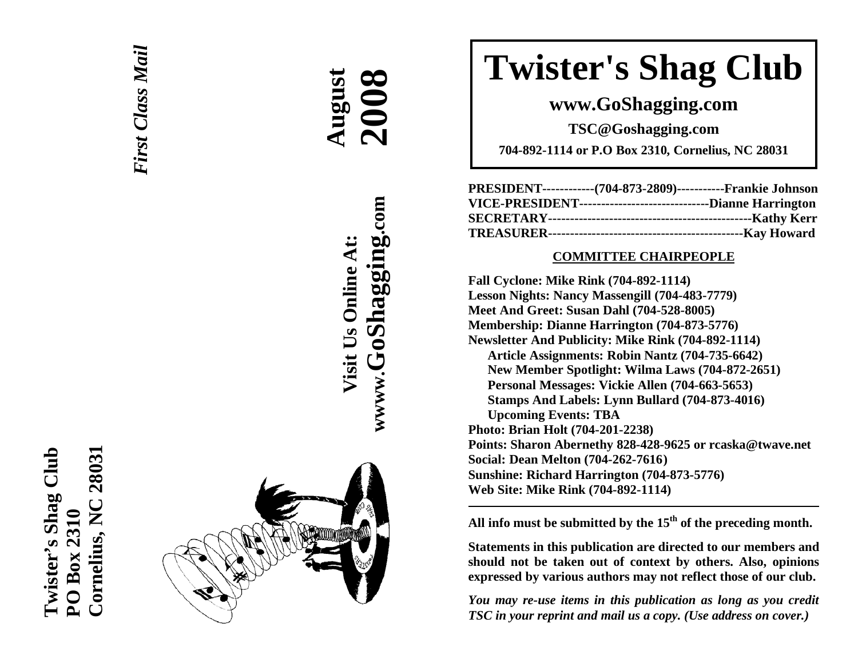



**AAAugust** 

**Visit Us Online At:**

Visit Us Online At:

**wwww.GoShagging.com**

www.GoShagging.com

 **2008**

# **Twister's Shag Club**

**www.GoShagging.com** 

**TSC@Goshagging.com** 

**704-892-1114 or P.O Box 2310, Cornelius, NC 28031** 

| PRESIDENT-------------(704-873-2809)------------Frankie Johnson  |  |
|------------------------------------------------------------------|--|
| VICE-PRESIDENT---------------------------------Dianne Harrington |  |
|                                                                  |  |
|                                                                  |  |

#### **COMMITTEE CHAIRPEOPLE**

**Fall Cyclone: Mike Rink (704-892-1114) Lesson Nights: Nancy Massengill (704-483-7779) Meet And Greet: Susan Dahl (704-528-8005) Membership: Dianne Harrington (704-873-5776) Newsletter And Publicity: Mike Rink (704-892-1114) Article Assignments: Robin Nantz (704-735-6642) New Member Spotlight: Wilma Laws (704-872-2651) Personal Messages: Vickie Allen (704-663-5653) Stamps And Labels: Lynn Bullard (704-873-4016) Upcoming Events: TBA Photo: Brian Holt (704-201-2238) Points: Sharon Abernethy 828-428-9625 or rcaska@twave.net Social: Dean Melton (704-262-7616 ) Sunshine: Richard Harrington (704-873-5776) Web Site: Mike Rink (704-892-1114)** 

**All info must be submitted by the 15th of the preceding month.** 

**Statements in this publication are directed to our members and should not be taken out of context by others. Also, opinions expressed by various authors may not reflect those of our club.** 

*You may re-use items in this publication as long as you credit TSC in your reprint and mail us a copy. (Use address on cover.)*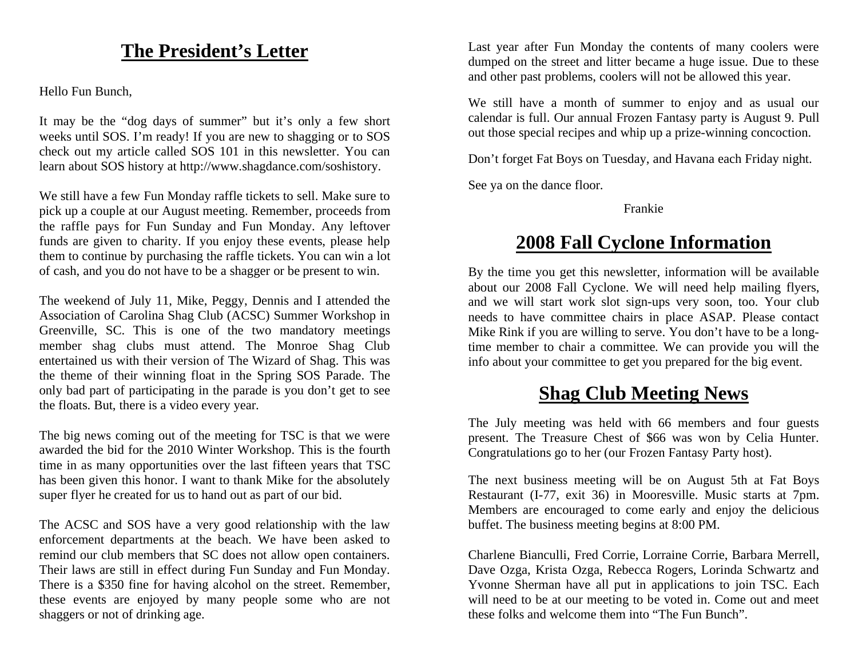# **The President's Letter**

Hello Fun Bunch,

It may be the "dog days of summer" but it's only a few short weeks until SOS. I'm ready! If you are new to shagging or to SOS check out my article called SOS 101 in this newsletter. You can learn about SOS history at http://www.shagdance.com/soshistory.

We still have a few Fun Monday raffle tickets to sell. Make sure to pick up a couple at our August meeting. Remember, proceeds from the raffle pays for Fun Sunday and Fun Monday. Any leftover funds are given to charity. If you enjoy these events, please help them to continue by purchasing the raffle tickets. You can win a lot of cash, and you do not have to be a shagger or be present to win.

The weekend of July 11, Mike, Peggy, Dennis and I attended the Association of Carolina Shag Club (ACSC) Summer Workshop in Greenville, SC. This is one of the two mandatory meetings member shag clubs must attend. The Monroe Shag Club entertained us with their version of The Wizard of Shag. This was the theme of their winning float in the Spring SOS Parade. The only bad part of participating in the parade is you don't get to see the floats. But, there is a video every year.

The big news coming out of the meeting for TSC is that we were awarded the bid for the 2010 Winter Workshop. This is the fourth time in as many opportunities over the last fifteen years that TSC has been given this honor. I want to thank Mike for the absolutely super flyer he created for us to hand out as part of our bid.

The ACSC and SOS have a very good relationship with the law enforcement departments at the beach. We have been asked to remind our club members that SC does not allow open containers. Their laws are still in effect during Fun Sunday and Fun Monday. There is a \$350 fine for having alcohol on the street. Remember, these events are enjoyed by many people some who are not shaggers or not of drinking age.

Last year after Fun Monday the contents of many coolers were dumped on the street and litter became a huge issue. Due to these and other past problems, coolers will not be allowed this year.

We still have a month of summer to enjoy and as usual our calendar is full. Our annual Frozen Fantasy party is August 9. Pull out those special recipes and whip up a prize-winning concoction.

Don't forget Fat Boys on Tuesday, and Havana each Friday night.

See ya on the dance floor.

Frankie

### **2008 Fall Cyclone Information**

By the time you get this newsletter, information will be available about our 2008 Fall Cyclone. We will need help mailing flyers, and we will start work slot sign-ups very soon, too. Your club needs to have committee chairs in place ASAP. Please contact Mike Rink if you are willing to serve. You don't have to be a longtime member to chair a committee. We can provide you will the info about your committee to get you prepared for the big event.

# **Shag Club Meeting News**

The July meeting was held with 66 members and four guests present. The Treasure Chest of \$66 was won by Celia Hunter. Congratulations go to her (our Frozen Fantasy Party host).

The next business meeting will be on August 5th at Fat Boys Restaurant (I-77, exit 36) in Mooresville. Music starts at 7pm. Members are encouraged to come early and enjoy the delicious buffet. The business meeting begins at 8:00 PM.

Charlene Bianculli, Fred Corrie, Lorraine Corrie, Barbara Merrell, Dave Ozga, Krista Ozga, Rebecca Rogers, Lorinda Schwartz and Yvonne Sherman have all put in applications to join TSC. Each will need to be at our meeting to be voted in. Come out and meet these folks and welcome them into "The Fun Bunch".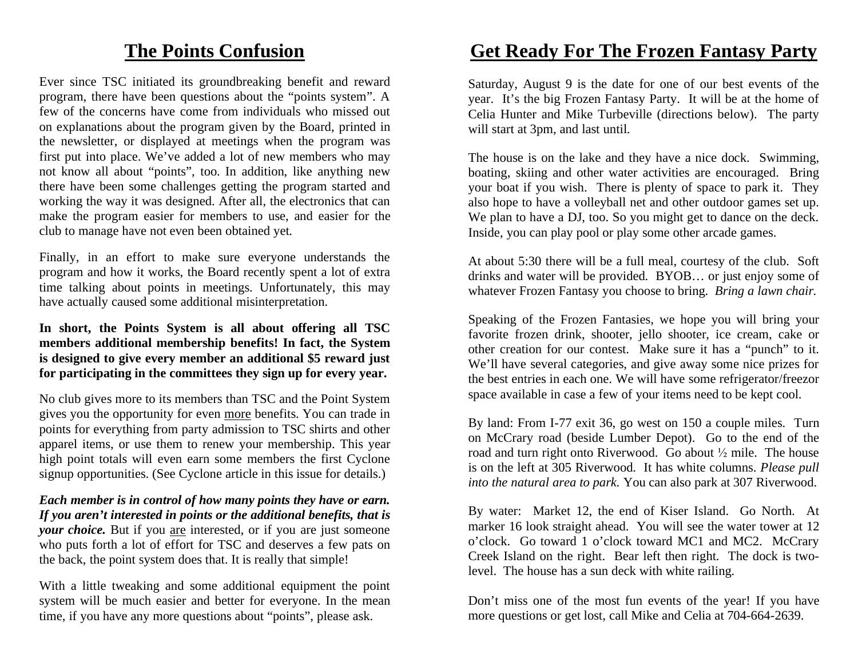### **The Points Confusion**

Ever since TSC initiated its groundbreaking benefit and reward program, there have been questions about the "points system". A few of the concerns have come from individuals who missed out on explanations about the program given by the Board, printed in the newsletter, or displayed at meetings when the program was first put into place. We've added a lot of new members who may not know all about "points", too. In addition, like anything new there have been some challenges getting the program started and working the way it was designed. After all, the electronics that can make the program easier for members to use, and easier for the club to manage have not even been obtained yet.

Finally, in an effort to make sure everyone understands the program and how it works, the Board recently spent a lot of extra time talking about points in meetings. Unfortunately, this may have actually caused some additional misinterpretation.

#### **In short, the Points System is all about offering all TSC members additional membership benefits! In fact, the System is designed to give every member an additional \$5 reward just for participating in the committees they sign up for every year.**

No club gives more to its members than TSC and the Point System gives you the opportunity for even more benefits. You can trade in points for everything from party admission to TSC shirts and other apparel items, or use them to renew your membership. This year high point totals will even earn some members the first Cyclone signup opportunities. (See Cyclone article in this issue for details.)

#### *Each member is in control of how many points they have or earn. If you aren't interested in points or the additional benefits, that is your choice*. But if you are interested, or if you are just someone who puts forth a lot of effort for TSC and deserves a few pats on the back, the point system does that. It is really that simple!

With a little tweaking and some additional equipment the point system will be much easier and better for everyone. In the mean time, if you have any more questions about "points", please ask.

## **Get Ready For The Frozen Fantasy Party**

Saturday, August 9 is the date for one of our best events of the year. It's the big Frozen Fantasy Party. It will be at the home of Celia Hunter and Mike Turbeville (directions below). The party will start at 3pm, and last until.

The house is on the lake and they have a nice dock. Swimming, boating, skiing and other water activities are encouraged. Bring your boat if you wish. There is plenty of space to park it. They also hope to have a volleyball net and other outdoor games set up. We plan to have a DJ, too. So you might get to dance on the deck. Inside, you can play pool or play some other arcade games.

At about 5:30 there will be a full meal, courtesy of the club. Soft drinks and water will be provided. BYOB… or just enjoy some of whatever Frozen Fantasy you choose to bring. *Bring a lawn chair.*

Speaking of the Frozen Fantasies, we hope you will bring your favorite frozen drink, shooter, jello shooter, ice cream, cake or other creation for our contest. Make sure it has a "punch" to it. We'll have several categories, and give away some nice prizes for the best entries in each one. We will have some refrigerator/freezor space available in case a few of your items need to be kept cool.

By land: From I-77 exit 36, go west on 150 a couple miles. Turn on McCrary road (beside Lumber Depot). Go to the end of the road and turn right onto Riverwood. Go about  $\frac{1}{2}$  mile. The house is on the left at 305 Riverwood. It has white columns. *Please pull into the natural area to park.* You can also park at 307 Riverwood.

By water: Market 12, the end of Kiser Island. Go North. At marker 16 look straight ahead. You will see the water tower at 12 <sup>o</sup>'clock. Go toward 1 o'clock toward MC1 and MC2. McCrary Creek Island on the right. Bear left then right. The dock is twolevel. The house has a sun deck with white railing.

Don't miss one of the most fun events of the year! If you have more questions or get lost, call Mike and Celia at 704-664-2639.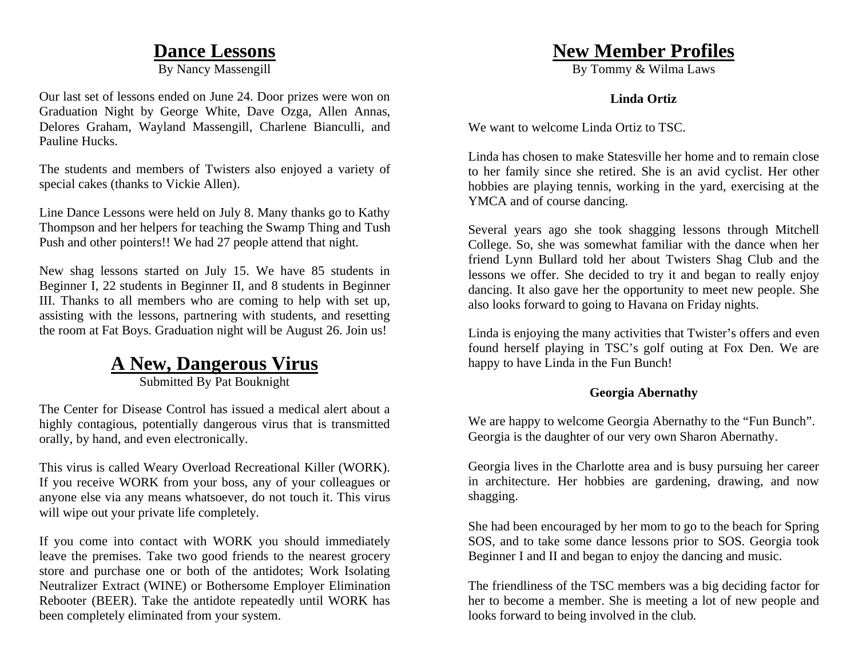### **Dance Lessons**

By Nancy Massengill

Our last set of lessons ended on June 24. Door prizes were won on Graduation Night by George White, Dave Ozga, Allen Annas, Delores Graham, Wayland Massengill, Charlene Bianculli, and Pauline Hucks.

The students and members of Twisters also enjoyed a variety of special cakes (thanks to Vickie Allen).

Line Dance Lessons were held on July 8. Many thanks go to Kathy Thompson and her helpers for teaching the Swamp Thing and Tush Push and other pointers!! We had 27 people attend that night.

New shag lessons started on July 15. We have 85 students in Beginner I, 22 students in Beginner II, and 8 students in Beginner III. Thanks to all members who are coming to help with set up, assisting with the lessons, partnering with students, and resetting the room at Fat Boys. Graduation night will be August 26. Join us!

# **A New, Dangerous Virus**

Submitted By Pat Bouknight

The Center for Disease Control has issued a medical alert about a highly contagious, potentially dangerous virus that is transmitted orally, by hand, and even electronically.

This virus is called Weary Overload Recreational Killer (WORK). If you receive WORK from your boss, any of your colleagues or anyone else via any means whatsoever, do not touch it. This virus will wipe out your private life completely.

If you come into contact with WORK you should immediately leave the premises. Take two good friends to the nearest grocery store and purchase one or both of the antidotes; Work Isolating Neutralizer Extract (WINE) or Bothersome Employer Elimination Rebooter (BEER). Take the antidote repeatedly until WORK has been completely eliminated from your system.

### **New Member Profiles**

By Tommy & Wilma Laws

#### **Linda Ortiz**

We want to welcome Linda Ortiz to TSC.

Linda has chosen to make Statesville her home and to remain close to her family since she retired. She is an avid cyclist. Her other hobbies are playing tennis, working in the yard, exercising at the YMCA and of course dancing.

Several years ago she took shagging lessons through Mitchell College. So, she was somewhat familiar with the dance when her friend Lynn Bullard told her about Twisters Shag Club and the lessons we offer. She decided to try it and began to really enjoy dancing. It also gave her the opportunity to meet new people. She also looks forward to going to Havana on Friday nights.

Linda is enjoying the many activities that Twister's offers and even found herself playing in TSC's golf outing at Fox Den. We are happy to have Linda in the Fun Bunch!

#### **Georgia Abernathy**

We are happy to welcome Georgia Abernathy to the "Fun Bunch". Georgia is the daughter of our very own Sharon Abernathy.

Georgia lives in the Charlotte area and is busy pursuing her career in architecture. Her hobbies are gardening, drawing, and now shagging.

She had been encouraged by her mom to go to the beach for Spring SOS, and to take some dance lessons prior to SOS. Georgia took Beginner I and II and began to enjoy the dancing and music.

The friendliness of the TSC members was a big deciding factor for her to become a member. She is meeting a lot of new people and looks forward to being involved in the club.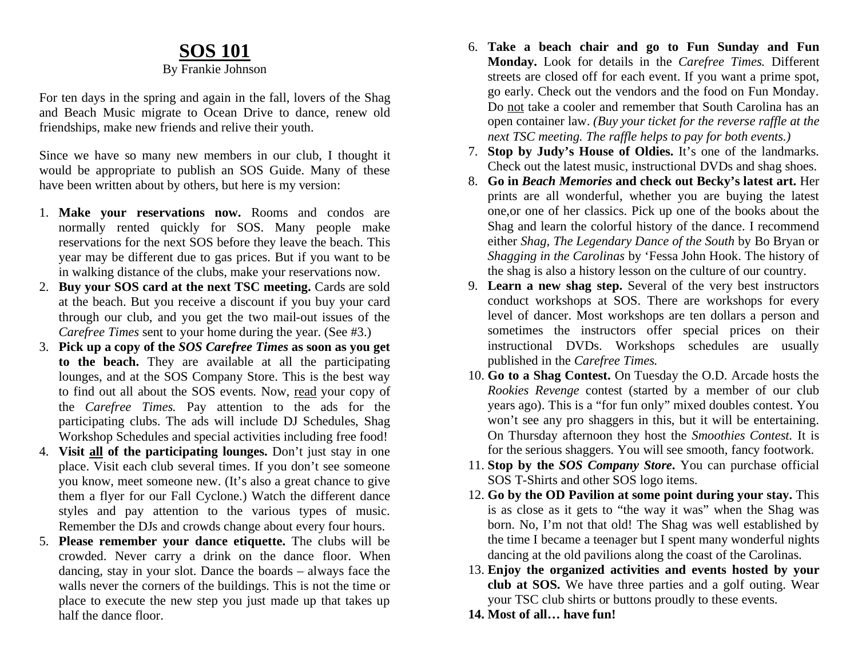### **SOS 101**

#### By Frankie Johnson

For ten days in the spring and again in the fall, lovers of the Shag and Beach Music migrate to Ocean Drive to dance, renew old friendships, make new friends and relive their youth.

Since we have so many new members in our club, I thought it would be appropriate to publish an SOS Guide. Many of these have been written about by others, but here is my version:

- 1. **Make your reservations now.** Rooms and condos are normally rented quickly for SOS. Many people make reservations for the next SOS before they leave the beach. This year may be different due to gas prices. But if you want to be in walking distance of the clubs, make your reservations now.
- 2. **Buy your SOS card at the next TSC meeting.** Cards are sold at the beach. But you receive a discount if you buy your card through our club, and you get the two mail-out issues of the *Carefree Times* sent to your home during the year. (See #3.)
- 3. **Pick up a copy of the** *SOS Carefree Times* **as soon as you get to the beach.** They are available at all the participating lounges, and at the SOS Company Store. This is the best way to find out all about the SOS events. Now, read your copy of the *Carefree Times.* Pay attention to the ads for the participating clubs. The ads will include DJ Schedules, Shag Workshop Schedules and special activities including free food!
- 4. **Visit all of the participating lounges.** Don't just stay in one place. Visit each club several times. If you don't see someone you know, meet someone new. (It's also a great chance to give them a flyer for our Fall Cyclone.) Watch the different dance styles and pay attention to the various types of music. Remember the DJs and crowds change about every four hours.
- 5. **Please remember your dance etiquette.** The clubs will be crowded. Never carry a drink on the dance floor. When dancing, stay in your slot. Dance the boards – always face the walls never the corners of the buildings. This is not the time or place to execute the new step you just made up that takes up half the dance floor.
- 6. **Take a beach chair and go to Fun Sunday and Fun Monday.** Look for details in the *Carefree Times.* Different streets are closed off for each event. If you want a prime spot, go early. Check out the vendors and the food on Fun Monday. Do not take a cooler and remember that South Carolina has an open container law. *(Buy your ticket for the reverse raffle at the next TSC meeting. The raffle helps to pay for both events.)*
- 7. **Stop by Judy's House of Oldies.** It's one of the landmarks. Check out the latest music, instructional DVDs and shag shoes.
- 8. **Go in** *Beach Memories* **and check out Becky's latest art.** Her prints are all wonderful, whether you are buying the latest one,or one of her classics. Pick up one of the books about the Shag and learn the colorful history of the dance. I recommend either *Shag, The Legendary Dance of the South* by Bo Bryan or *Shagging in the Carolinas* by 'Fessa John Hook. The history of the shag is also a history lesson on the culture of our country.
- 9. **Learn a new shag step.** Several of the very best instructors conduct workshops at SOS. There are workshops for every level of dancer. Most workshops are ten dollars a person and sometimes the instructors offer special prices on their instructional DVDs. Workshops schedules are usually published in the *Carefree Times.*
- 10. **Go to a Shag Contest.** On Tuesday the O.D. Arcade hosts the *Rookies Revenge* contest (started by a member of our club years ago). This is a "for fun only" mixed doubles contest. You won't see any pro shaggers in this, but it will be entertaining. On Thursday afternoon they host the *Smoothies Contest.* It is for the serious shaggers. You will see smooth, fancy footwork.
- 11. **Stop by the** *SOS Company Store***.** You can purchase official SOS T-Shirts and other SOS logo items.
- 12. **Go by the OD Pavilion at some point during your stay.** This is as close as it gets to "the way it was" when the Shag was born. No, I'm not that old! The Shag was well established by the time I became a teenager but I spent many wonderful nights dancing at the old pavilions along the coast of the Carolinas.
- 13. **Enjoy the organized activities and events hosted by your club at SOS.** We have three parties and a golf outing. Wear your TSC club shirts or buttons proudly to these events.
- **14. Most of all… have fun!**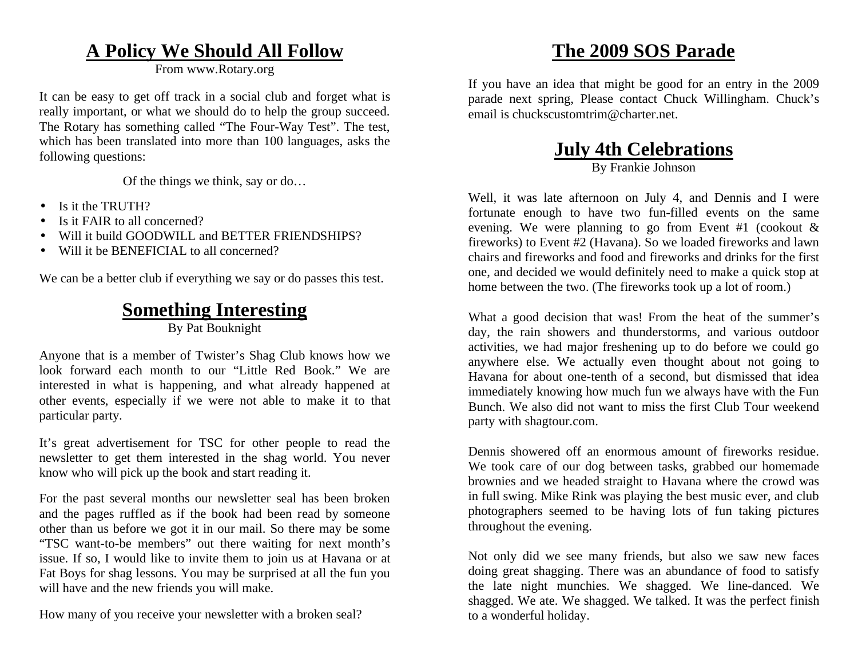### **A Policy We Should All Follow**

From www.Rotary.org

It can be easy to get off track in a social club and forget what is really important, or what we should do to help the group succeed. The Rotary has something called "The Four-Way Test". The test, which has been translated into more than 100 languages, asks the following questions:

Of the things we think, say or do…

- •Is it the TRUTH?
- •Is it FAIR to all concerned?
- •Will it build GOODWILL and BETTER FRIENDSHIPS?
- •Will it be **BENEFICIAL** to all concerned?

We can be a better club if everything we say or do passes this test.

# **Something Interesting**

By Pat Bouknight

Anyone that is a member of Twister's Shag Club knows how we look forward each month to our "Little Red Book." We are interested in what is happening, and what already happened at other events, especially if we were not able to make it to that particular party.

It's great advertisement for TSC for other people to read the newsletter to get them interested in the shag world. You never know who will pick up the book and start reading it.

For the past several months our newsletter seal has been broken and the pages ruffled as if the book had been read by someone other than us before we got it in our mail. So there may be some "TSC want-to-be members" out there waiting for next month's issue. If so, I would like to invite them to join us at Havana or at Fat Boys for shag lessons. You may be surprised at all the fun you will have and the new friends you will make.

How many of you receive your newsletter with a broken seal?

# **The 2009 SOS Parade**

If you have an idea that might be good for an entry in the 2009 parade next spring, Please contact Chuck Willingham. Chuck's email is chuckscustomtrim@charter.net.

# **July 4th Celebrations**

By Frankie Johnson

Well, it was late afternoon on July 4, and Dennis and I were fortunate enough to have two fun-filled events on the same evening. We were planning to go from Event #1 (cookout & fireworks) to Event #2 (Havana). So we loaded fireworks and lawn chairs and fireworks and food and fireworks and drinks for the first one, and decided we would definitely need to make a quick stop at home between the two. (The fireworks took up a lot of room.)

What a good decision that was! From the heat of the summer's day, the rain showers and thunderstorms, and various outdoor activities, we had major freshening up to do before we could go anywhere else. We actually even thought about not going to Havana for about one-tenth of a second, but dismissed that idea immediately knowing how much fun we always have with the Fun Bunch. We also did not want to miss the first Club Tour weekend party with shagtour.com.

Dennis showered off an enormous amount of fireworks residue. We took care of our dog between tasks, grabbed our homemade brownies and we headed straight to Havana where the crowd was in full swing. Mike Rink was playing the best music ever, and club photographers seemed to be having lots of fun taking pictures throughout the evening.

Not only did we see many friends, but also we saw new faces doing great shagging. There was an abundance of food to satisfy the late night munchies. We shagged. We line-danced. We shagged. We ate. We shagged. We talked. It was the perfect finish to a wonderful holiday.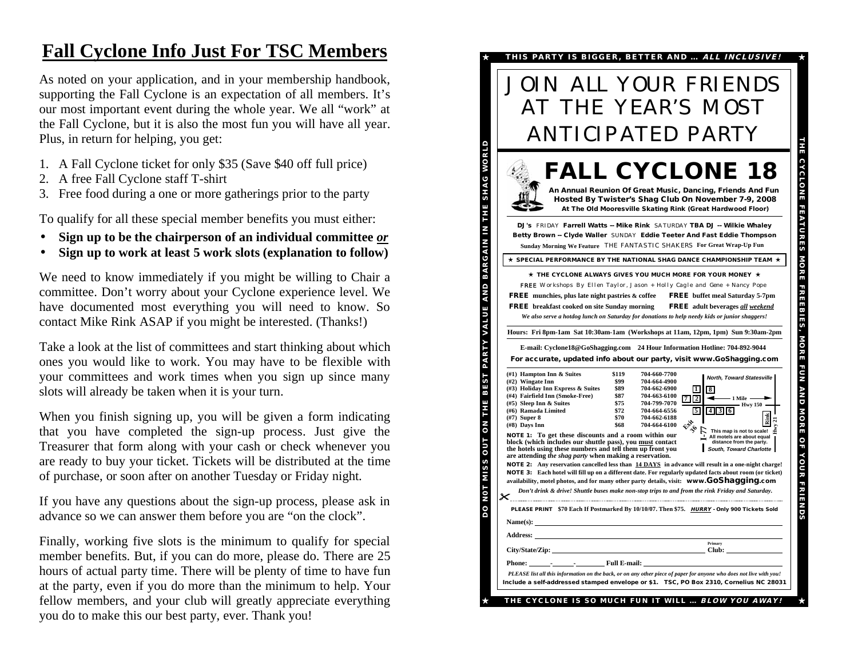# **Fall Cyclone Info Just For TSC Members**

As noted on your application, and in your membership handbook, supporting the Fall Cyclone is an expectation of all members. It's our most important event during the whole year. We all "work" at the Fall Cyclone, but it is also the most fun you will have all year. Plus, in return for helping, you get:

- 1. A Fall Cyclone ticket for only \$35 (Save \$40 off full price)
- 2. A free Fall Cyclone staff T-shirt
- 3. Free food during a one or more gatherings prior to the party

To qualify for all these special member benefits you must either:

- •**Sign up to be the chairperson of an individual committee** *or*
- •**Sign up to work at least 5 work slots (explanation to follow)**

We need to know immediately if you might be willing to Chair a committee. Don't worry about your Cyclone experience level. We have documented most everything you will need to know. So contact Mike Rink ASAP if you might be interested. (Thanks!)

Take a look at the list of committees and start thinking about which ones you would like to work. You may have to be flexible with your committees and work times when you sign up since many slots will already be taken when it is your turn.

When you finish signing up, you will be given a form indicating that you have completed the sign-up process. Just give the Treasurer that form along with your cash or check whenever you are ready to buy your ticket. Tickets will be distributed at the time of purchase, or soon after on another Tuesday or Friday night.

If you have any questions about the sign-up process, please ask in advance so we can answer them before you are "on the clock".

Finally, working five slots is the minimum to qualify for special member benefits. But, if you can do more, please do. There are 25 hours of actual party time. There will be plenty of time to have fun at the party, even if you do more than the minimum to help. Your fellow members, and your club will greatly appreciate everything you do to make this our best party, ever. Thank you!

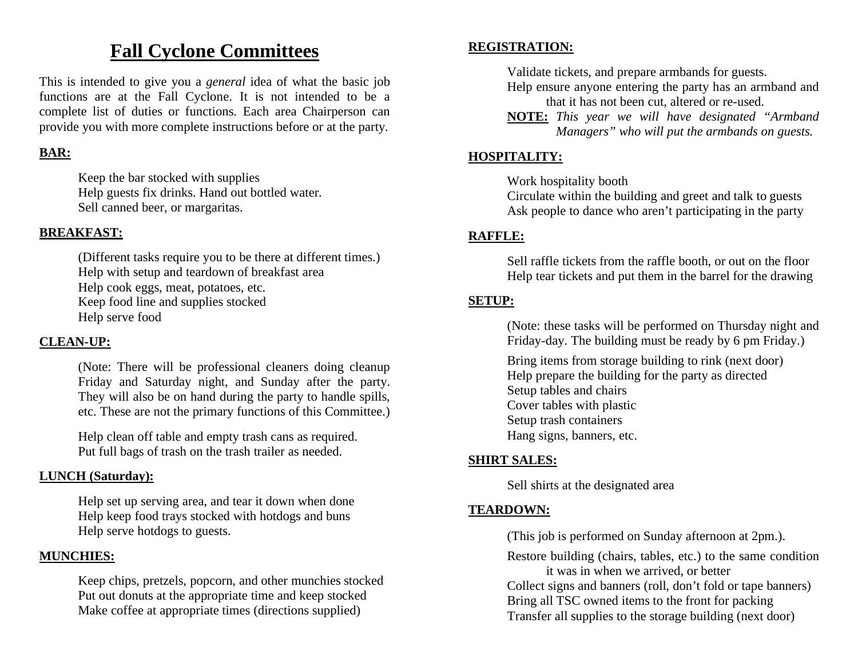### **Fall Cyclone Committees**

This is intended to give you a *general* idea of what the basic job functions are at the Fall Cyclone. It is not intended to be a complete list of duties or functions. Each area Chairperson can provide you with more complete instructions before or at the party.

#### **BAR:**

 Keep the bar stocked with supplies Help guests fix drinks. Hand out bottled water. Sell canned beer, or margaritas.

#### **BREAKFAST:**

(Different tasks require you to be there at different times.) Help with setup and teardown of breakfast area Help cook eggs, meat, potatoes, etc. Keep food line and supplies stocked Help serve food

#### **CLEAN-UP:**

 (Note: There will be professional cleaners doing cleanup Friday and Saturday night, and Sunday after the party. They will also be on hand during the party to handle spills, etc. These are not the primary functions of this Committee.)

 Help clean off table and empty trash cans as required. Put full bags of trash on the trash trailer as needed.

#### **LUNCH (Saturday):**

Help set up serving area, and tear it down when done Help keep food trays stocked with hotdogs and buns Help serve hotdogs to guests.

#### **MUNCHIES:**

 Keep chips, pretzels, popcorn, and other munchies stocked Put out donuts at the appropriate time and keep stocked Make coffee at appropriate times (directions supplied)

#### **REGISTRATION:**

Validate tickets, and prepare armbands for guests.

- Help ensure anyone entering the party has an armband and that it has not been cut, altered or re-used.
- **NOTE:** *This year we will have designated "Armband Managers" who will put the armbands on guests.*

#### **HOSPITALITY:**

Work hospitality booth

Circulate within the building and greet and talk to guests Ask people to dance who aren't participating in the party

#### **RAFFLE:**

 Sell raffle tickets from the raffle booth, or out on the floor Help tear tickets and put them in the barrel for the drawing

#### **SETUP:**

 (Note: these tasks will be performed on Thursday night and Friday-day. The building must be ready by 6 pm Friday.)

 Bring items from storage building to rink (next door) Help prepare the building for the party as directed Setup tables and chairs Cover tables with plastic Setup trash containers Hang signs, banners, etc.

#### **SHIRT SALES:**

Sell shirts at the designated area

#### **TEARDOWN:**

(This job is performed on Sunday afternoon at 2pm.).

Restore building (chairs, tables, etc.) to the same condition it was in when we arrived, or better Collect signs and banners (roll, don't fold or tape banners) Bring all TSC owned items to the front for packing Transfer all supplies to the storage building (next door)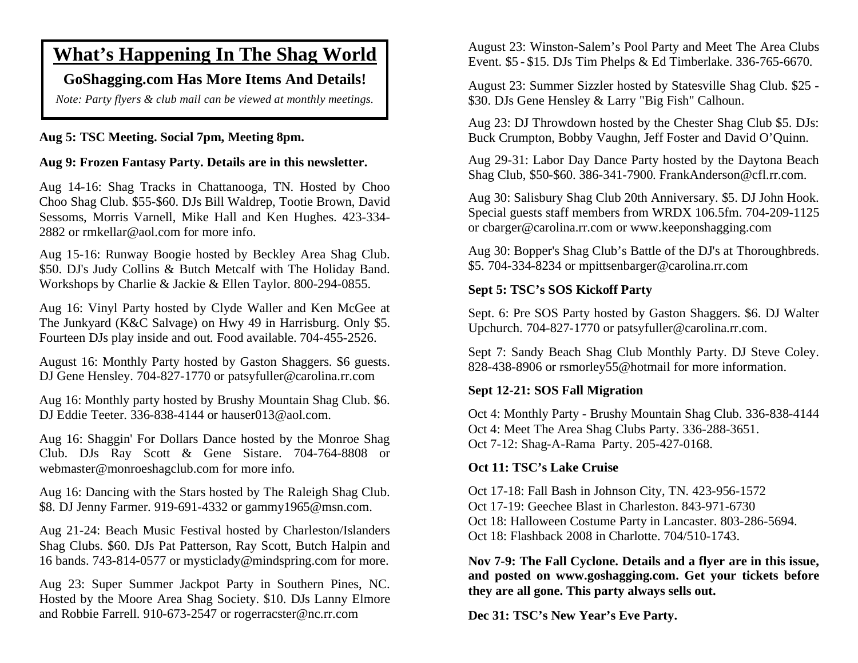### **What's Happening In The Shag World**

#### **GoShagging.com Has More Items And Details!**

*Note: Party flyers & club mail can be viewed at monthly meetings.* 

#### **Aug 5: TSC Meeting. Social 7pm, Meeting 8pm.**

#### **Aug 9: Frozen Fantasy Party. Details are in this newsletter.**

Aug 14-16: Shag Tracks in Chattanooga, TN. Hosted by Choo Choo Shag Club. \$55-\$60. DJs Bill Waldrep, Tootie Brown, David Sessoms, Morris Varnell, Mike Hall and Ken Hughes. 423-334- 2882 or rmkellar@aol.com for more info.

Aug 15-16: Runway Boogie hosted by Beckley Area Shag Club. \$50. DJ's Judy Collins & Butch Metcalf with The Holiday Band. Workshops by Charlie & Jackie & Ellen Taylor. 800-294-0855.

Aug 16: Vinyl Party hosted by Clyde Waller and Ken McGee at The Junkyard (K&C Salvage) on Hwy 49 in Harrisburg. Only \$5. Fourteen DJs play inside and out. Food available. 704-455-2526.

August 16: Monthly Party hosted by Gaston Shaggers. \$6 guests. DJ Gene Hensley. 704-827-1770 or patsyfuller@carolina.rr.com

Aug 16: Monthly party hosted by Brushy Mountain Shag Club. \$6. DJ Eddie Teeter. 336-838-4144 or hauser013@aol.com.

Aug 16: Shaggin' For Dollars Dance hosted by the Monroe Shag Club. DJs Ray Scott & Gene Sistare. 704-764-8808 or webmaster@monroeshagclub.com for more info.

Aug 16: Dancing with the Stars hosted by The Raleigh Shag Club. \$8. DJ Jenny Farmer. 919-691-4332 or gammy1965@msn.com.

Aug 21-24: Beach Music Festival hosted by Charleston/Islanders Shag Clubs. \$60. DJs Pat Patterson, Ray Scott, Butch Halpin and 16 bands. 743-814-0577 or mysticlady@mindspring.com for more.

Aug 23: Super Summer Jackpot Party in Southern Pines, NC. Hosted by the Moore Area Shag Society. \$10. DJs Lanny Elmore and Robbie Farrell. 910-673-2547 or rogerracster@nc.rr.com

August 23: Winston-Salem's Pool Party and Meet The Area Clubs Event. \$5 - \$15. DJs Tim Phelps & Ed Timberlake. 336-765-6670.

August 23: Summer Sizzler hosted by Statesville Shag Club. \$25 - \$30. DJs Gene Hensley & Larry "Big Fish" Calhoun.

Aug 23: DJ Throwdown hosted by the Chester Shag Club \$5. DJs: Buck Crumpton, Bobby Vaughn, Jeff Foster and David O'Quinn.

Aug 29-31: Labor Day Dance Party hosted by the Daytona Beach Shag Club, \$50-\$60. 386-341-7900. FrankAnderson@cfl.rr.com.

Aug 30: Salisbury Shag Club 20th Anniversary. \$5. DJ John Hook. Special guests staff members from WRDX 106.5fm. 704-209-1125 or cbarger@carolina.rr.com or www.keeponshagging.com

Aug 30: Bopper's Shag Club's Battle of the DJ's at Thoroughbreds. \$5. 704-334-8234 or mpittsenbarger@carolina.rr.com

#### **Sept 5: TSC's SOS Kickoff Party**

Sept. 6: Pre SOS Party hosted by Gaston Shaggers. \$6. DJ Walter Upchurch. 704-827-1770 or patsyfuller@carolina.rr.com.

Sept 7: Sandy Beach Shag Club Monthly Party. DJ Steve Coley. 828-438-8906 or rsmorley55@hotmail for more information.

#### **Sept 12-21: SOS Fall Migration**

Oct 4: Monthly Party - Brushy Mountain Shag Club. 336-838-4144 Oct 4: Meet The Area Shag Clubs Party. 336-288-3651. Oct 7-12: Shag-A-Rama Party. 205-427-0168.

#### **Oct 11: TSC's Lake Cruise**

Oct 17-18: Fall Bash in Johnson City, TN. 423-956-1572 Oct 17-19: Geechee Blast in Charleston. 843-971-6730 Oct 18: Halloween Costume Party in Lancaster. 803-286-5694. Oct 18: Flashback 2008 in Charlotte. 704/510-1743.

**Nov 7-9: The Fall Cyclone. Details and a flyer are in this issue, and posted on www.goshagging.com. Get your tickets before they are all gone. This party always sells out.** 

**Dec 31: TSC's New Year's Eve Party.**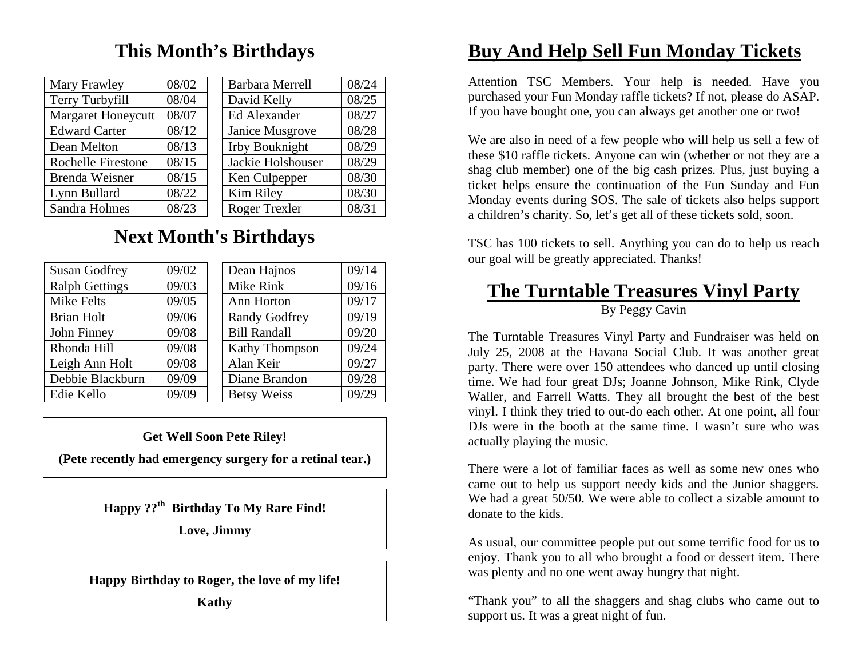# **This Month's Birthdays**

| 08/02 | <b>Barbara Merrell</b> | 08/24 |
|-------|------------------------|-------|
| 08/04 | David Kelly            | 08/25 |
| 08/07 | Ed Alexander           | 08/27 |
| 08/12 | Janice Musgrove        | 08/28 |
| 08/13 | Irby Bouknight         | 08/29 |
| 08/15 | Jackie Holshouser      | 08/29 |
| 08/15 | Ken Culpepper          | 08/30 |
| 08/22 | Kim Riley              | 08/30 |
| 08/23 | <b>Roger Trexler</b>   | 08/31 |
|       |                        |       |

# **Next Month's Birthdays**

| <b>Susan Godfrey</b>  | 09/02 | Dean Hajnos          | 09/14 |
|-----------------------|-------|----------------------|-------|
| <b>Ralph Gettings</b> | 09/03 | Mike Rink            | 09/16 |
| <b>Mike Felts</b>     | 09/05 | Ann Horton           | 09/17 |
| <b>Brian Holt</b>     | 09/06 | <b>Randy Godfrey</b> | 09/19 |
| John Finney           | 09/08 | <b>Bill Randall</b>  | 09/20 |
| Rhonda Hill           | 09/08 | Kathy Thompson       | 09/24 |
| Leigh Ann Holt        | 09/08 | Alan Keir            | 09/27 |
| Debbie Blackburn      | 09/09 | Diane Brandon        | 09/28 |
| Edie Kello            | 09/09 | <b>Betsy Weiss</b>   | 09/29 |

#### **Get Well Soon Pete Riley!**

**(Pete recently had emergency surgery for a retinal tear.)** 

**Happy ??th Birthday To My Rare Find!** 

**Love, Jimmy** 

**Happy Birthday to Roger, the love of my life!** 

**Kathy** 

# **Buy And Help Sell Fun Monday Tickets**

Attention TSC Members. Your help is needed. Have you purchased your Fun Monday raffle tickets? If not, please do ASAP. If you have bought one, you can always get another one or two!

We are also in need of a few people who will help us sell a few of these \$10 raffle tickets. Anyone can win (whether or not they are a shag club member) one of the big cash prizes. Plus, just buying a ticket helps ensure the continuation of the Fun Sunday and Fun Monday events during SOS. The sale of tickets also helps support a children's charity. So, let's get all of these tickets sold, soon.

TSC has 100 tickets to sell. Anything you can do to help us reach our goal will be greatly appreciated. Thanks!

# **The Turntable Treasures Vinyl Party**

#### By Peggy Cavin

The Turntable Treasures Vinyl Party and Fundraiser was held on July 25, 2008 at the Havana Social Club. It was another great party. There were over 150 attendees who danced up until closing time. We had four great DJs; Joanne Johnson, Mike Rink, Clyde Waller, and Farrell Watts. They all brought the best of the best vinyl. I think they tried to out-do each other. At one point, all four DJs were in the booth at the same time. I wasn't sure who was actually playing the music.

There were a lot of familiar faces as well as some new ones who came out to help us support needy kids and the Junior shaggers. We had a great 50/50. We were able to collect a sizable amount to donate to the kids.

As usual, our committee people put out some terrific food for us to enjoy. Thank you to all who brought a food or dessert item. There was plenty and no one went away hungry that night.

"Thank you" to all the shaggers and shag clubs who came out to support us. It was a great night of fun.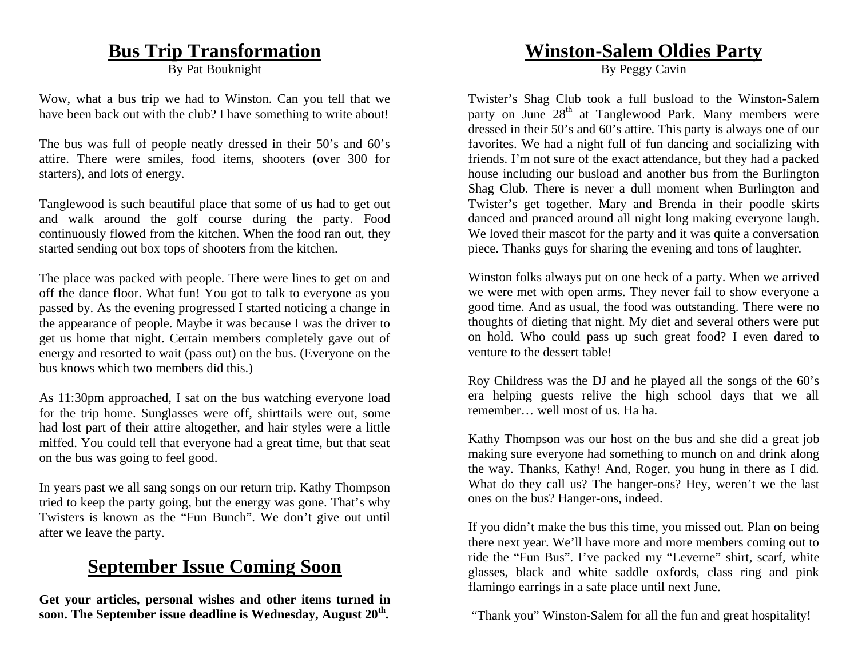### **Bus Trip Transformation**

By Pat Bouknight

Wow, what a bus trip we had to Winston. Can you tell that we have been back out with the club? I have something to write about!

The bus was full of people neatly dressed in their 50's and 60's attire. There were smiles, food items, shooters (over 300 for starters), and lots of energy.

Tanglewood is such beautiful place that some of us had to get out and walk around the golf course during the party. Food continuously flowed from the kitchen. When the food ran out, they started sending out box tops of shooters from the kitchen.

The place was packed with people. There were lines to get on and off the dance floor. What fun! You got to talk to everyone as you passed by. As the evening progressed I started noticing a change in the appearance of people. Maybe it was because I was the driver to get us home that night. Certain members completely gave out of energy and resorted to wait (pass out) on the bus. (Everyone on the bus knows which two members did this.)

As 11:30pm approached, I sat on the bus watching everyone load for the trip home. Sunglasses were off, shirttails were out, some had lost part of their attire altogether, and hair styles were a little miffed. You could tell that everyone had a great time, but that seat on the bus was going to feel good.

In years past we all sang songs on our return trip. Kathy Thompson tried to keep the party going, but the energy was gone. That's why Twisters is known as the "Fun Bunch". We don't give out until after we leave the party.

# **September Issue Coming Soon**

**Get your articles, personal wishes and other items turned in soon. The September issue deadline is Wednesday, August 20th.** 

### **Winston-Salem Oldies Party**

By Peggy Cavin

Twister's Shag Club took a full busload to the Winston-Salem party on June 28<sup>th</sup> at Tanglewood Park. Many members were dressed in their 50's and 60's attire. This party is always one of our favorites. We had a night full of fun dancing and socializing with friends. I'm not sure of the exact attendance, but they had a packed house including our busload and another bus from the Burlington Shag Club. There is never a dull moment when Burlington and Twister's get together. Mary and Brenda in their poodle skirts danced and pranced around all night long making everyone laugh. We loved their mascot for the party and it was quite a conversation piece. Thanks guys for sharing the evening and tons of laughter.

Winston folks always put on one heck of a party. When we arrived we were met with open arms. They never fail to show everyone a good time. And as usual, the food was outstanding. There were no thoughts of dieting that night. My diet and several others were put on hold. Who could pass up such great food? I even dared to venture to the dessert table!

Roy Childress was the DJ and he played all the songs of the 60's era helping guests relive the high school days that we all remember… well most of us. Ha ha.

Kathy Thompson was our host on the bus and she did a great job making sure everyone had something to munch on and drink along the way. Thanks, Kathy! And, Roger, you hung in there as I did. What do they call us? The hanger-ons? Hey, weren't we the last ones on the bus? Hanger-ons, indeed.

If you didn't make the bus this time, you missed out. Plan on being there next year. We'll have more and more members coming out to ride the "Fun Bus". I've packed my "Leverne" shirt, scarf, white glasses, black and white saddle oxfords, class ring and pink flamingo earrings in a safe place until next June.

"Thank you" Winston-Salem for all the fun and great hospitality!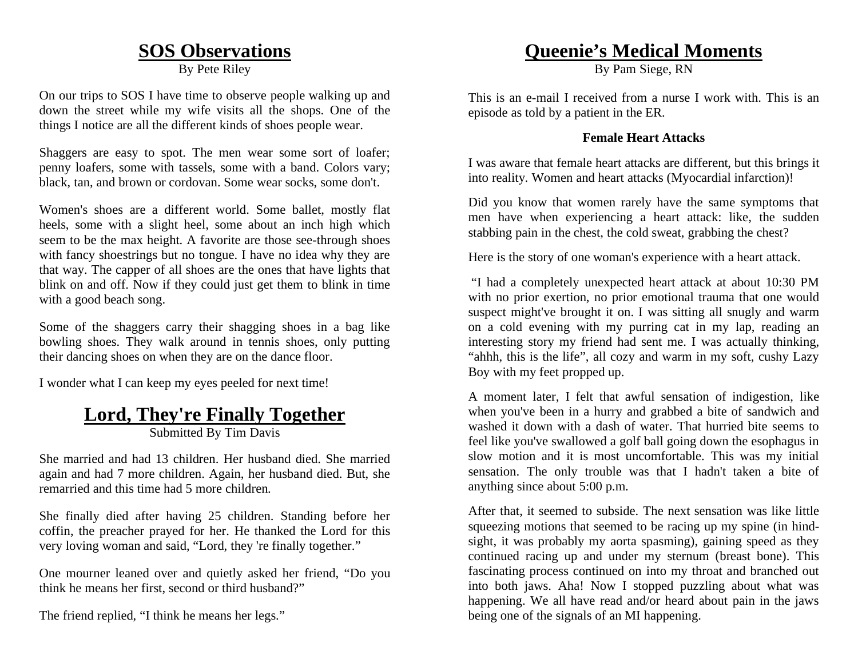### **SOS Observations**

By Pete Riley

On our trips to SOS I have time to observe people walking up and down the street while my wife visits all the shops. One of the things I notice are all the different kinds of shoes people wear.

Shaggers are easy to spot. The men wear some sort of loafer; penny loafers, some with tassels, some with a band. Colors vary; black, tan, and brown or cordovan. Some wear socks, some don't.

Women's shoes are a different world. Some ballet, mostly flat heels, some with a slight heel, some about an inch high which seem to be the max height. A favorite are those see-through shoes with fancy shoestrings but no tongue. I have no idea why they are that way. The capper of all shoes are the ones that have lights that blink on and off. Now if they could just get them to blink in time with a good beach song.

Some of the shaggers carry their shagging shoes in a bag like bowling shoes. They walk around in tennis shoes, only putting their dancing shoes on when they are on the dance floor.

I wonder what I can keep my eyes peeled for next time!

### **Lord, They're Finally Together**

Submitted By Tim Davis

She married and had 13 children. Her husband died. She married again and had 7 more children. Again, her husband died. But, she remarried and this time had 5 more children.

She finally died after having 25 children. Standing before her coffin, the preacher prayed for her. He thanked the Lord for this very loving woman and said, "Lord, they 're finally together."

One mourner leaned over and quietly asked her friend, "Do you think he means her first, second or third husband?"

The friend replied, "I think he means her legs."

### **Queenie's Medical Moments**

By Pam Siege, RN

This is an e-mail I received from a nurse I work with. This is an episode as told by a patient in the ER.

#### **Female Heart Attacks**

I was aware that female heart attacks are different, but this brings it into reality. Women and heart attacks (Myocardial infarction)!

Did you know that women rarely have the same symptoms that men have when experiencing a heart attack: like, the sudden stabbing pain in the chest, the cold sweat, grabbing the chest?

Here is the story of one woman's experience with a heart attack.

 "I had a completely unexpected heart attack at about 10:30 PM with no prior exertion, no prior emotional trauma that one would suspect might've brought it on. I was sitting all snugly and warm on a cold evening with my purring cat in my lap, reading an interesting story my friend had sent me. I was actually thinking, "ahhh, this is the life", all cozy and warm in my soft, cushy Lazy Boy with my feet propped up.

A moment later, I felt that awful sensation of indigestion, like when you've been in a hurry and grabbed a bite of sandwich and washed it down with a dash of water. That hurried bite seems to feel like you've swallowed a golf ball going down the esophagus in slow motion and it is most uncomfortable. This was my initial sensation. The only trouble was that I hadn't taken a bite of anything since about 5:00 p.m.

After that, it seemed to subside. The next sensation was like little squeezing motions that seemed to be racing up my spine (in hindsight, it was probably my aorta spasming), gaining speed as they continued racing up and under my sternum (breast bone). This fascinating process continued on into my throat and branched out into both jaws. Aha! Now I stopped puzzling about what was happening. We all have read and/or heard about pain in the jaws being one of the signals of an MI happening.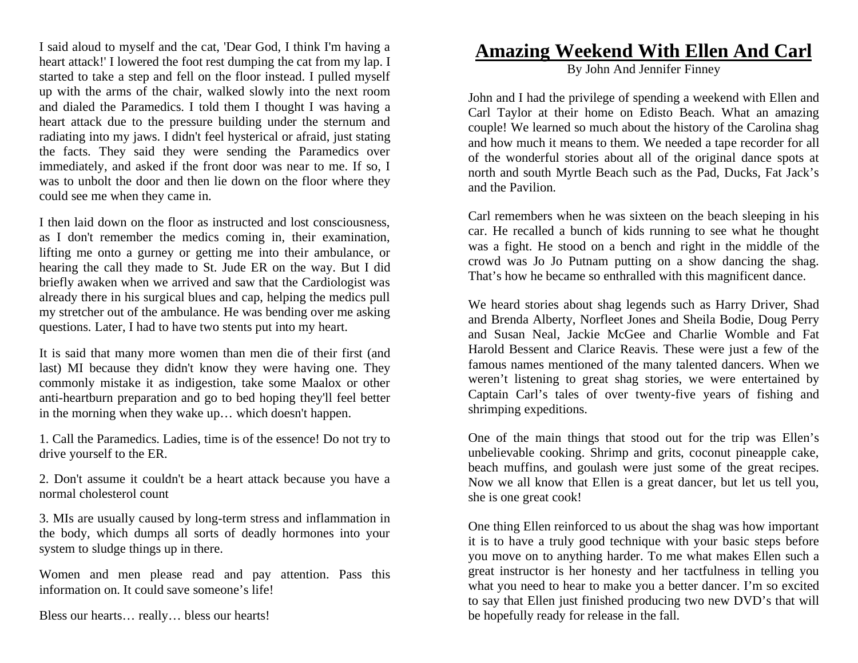I said aloud to myself and the cat, 'Dear God, I think I'm having a heart attack!' I lowered the foot rest dumping the cat from my lap. I started to take a step and fell on the floor instead. I pulled myself up with the arms of the chair, walked slowly into the next room and dialed the Paramedics. I told them I thought I was having a heart attack due to the pressure building under the sternum and radiating into my jaws. I didn't feel hysterical or afraid, just stating the facts. They said they were sending the Paramedics over immediately, and asked if the front door was near to me. If so, I was to unbolt the door and then lie down on the floor where they could see me when they came in.

I then laid down on the floor as instructed and lost consciousness, as I don't remember the medics coming in, their examination, lifting me onto a gurney or getting me into their ambulance, or hearing the call they made to St. Jude ER on the way. But I did briefly awaken when we arrived and saw that the Cardiologist was already there in his surgical blues and cap, helping the medics pull my stretcher out of the ambulance. He was bending over me asking questions. Later, I had to have two stents put into my heart.

It is said that many more women than men die of their first (and last) MI because they didn't know they were having one. They commonly mistake it as indigestion, take some Maalox or other anti-heartburn preparation and go to bed hoping they'll feel better in the morning when they wake up… which doesn't happen.

1. Call the Paramedics. Ladies, time is of the essence! Do not try to drive yourself to the ER.

2. Don't assume it couldn't be a heart attack because you have a normal cholesterol count

3. MIs are usually caused by long-term stress and inflammation in the body, which dumps all sorts of deadly hormones into your system to sludge things up in there.

Women and men please read and pay attention. Pass this information on. It could save someone's life!

Bless our hearts… really… bless our hearts!

### **Amazing Weekend With Ellen And Carl**

By John And Jennifer Finney

John and I had the privilege of spending a weekend with Ellen and Carl Taylor at their home on Edisto Beach. What an amazing couple! We learned so much about the history of the Carolina shag and how much it means to them. We needed a tape recorder for all of the wonderful stories about all of the original dance spots at north and south Myrtle Beach such as the Pad, Ducks, Fat Jack's and the Pavilion.

Carl remembers when he was sixteen on the beach sleeping in his car. He recalled a bunch of kids running to see what he thought was a fight. He stood on a bench and right in the middle of the crowd was Jo Jo Putnam putting on a show dancing the shag. That's how he became so enthralled with this magnificent dance.

We heard stories about shag legends such as Harry Driver, Shad and Brenda Alberty, Norfleet Jones and Sheila Bodie, Doug Perry and Susan Neal, Jackie McGee and Charlie Womble and Fat Harold Bessent and Clarice Reavis. These were just a few of the famous names mentioned of the many talented dancers. When we weren't listening to great shag stories, we were entertained by Captain Carl's tales of over twenty-five years of fishing and shrimping expeditions.

One of the main things that stood out for the trip was Ellen's unbelievable cooking. Shrimp and grits, coconut pineapple cake, beach muffins, and goulash were just some of the great recipes. Now we all know that Ellen is a great dancer, but let us tell you, she is one great cook!

One thing Ellen reinforced to us about the shag was how important it is to have a truly good technique with your basic steps before you move on to anything harder. To me what makes Ellen such a great instructor is her honesty and her tactfulness in telling you what you need to hear to make you a better dancer. I'm so excited to say that Ellen just finished producing two new DVD's that will be hopefully ready for release in the fall.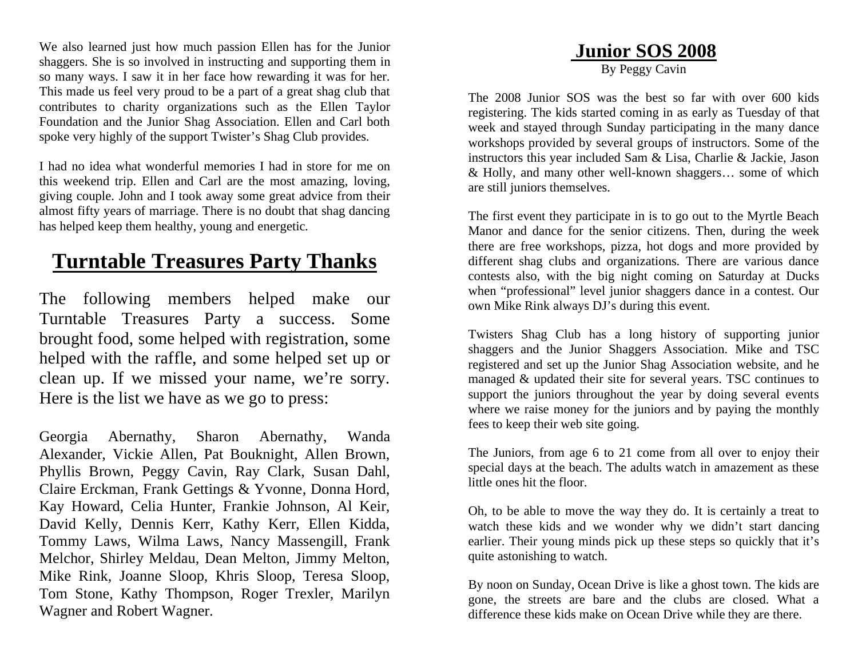We also learned just how much passion Ellen has for the Junior shaggers. She is so involved in instructing and supporting them in so many ways. I saw it in her face how rewarding it was for her. This made us feel very proud to be a part of a great shag club that contributes to charity organizations such as the Ellen Taylor Foundation and the Junior Shag Association. Ellen and Carl both spoke very highly of the support Twister's Shag Club provides.

I had no idea what wonderful memories I had in store for me on this weekend trip. Ellen and Carl are the most amazing, loving, giving couple. John and I took away some great advice from their almost fifty years of marriage. There is no doubt that shag dancing has helped keep them healthy, young and energetic.

# **Turntable Treasures Party Thanks**

The following members helped make our Turntable Treasures Party a success. Some brought food, some helped with registration, some helped with the raffle, and some helped set up or clean up. If we missed your name, we're sorry. Here is the list we have as we go to press:

Georgia Abernathy, Sharon Abernathy, Wanda Alexander, Vickie Allen, Pat Bouknight, Allen Brown, Phyllis Brown, Peggy Cavin, Ray Clark, Susan Dahl, Claire Erckman, Frank Gettings & Yvonne, Donna Hord, Kay Howard, Celia Hunter, Frankie Johnson, Al Keir, David Kelly, Dennis Kerr, Kathy Kerr, Ellen Kidda, Tommy Laws, Wilma Laws, Nancy Massengill, Frank Melchor, Shirley Meldau, Dean Melton, Jimmy Melton, Mike Rink, Joanne Sloop, Khris Sloop, Teresa Sloop, Tom Stone, Kathy Thompson, Roger Trexler, Marilyn Wagner and Robert Wagner.

### **Junior SOS 2008**

By Peggy Cavin

The 2008 Junior SOS was the best so far with over 600 kids registering. The kids started coming in as early as Tuesday of that week and stayed through Sunday participating in the many dance workshops provided by several groups of instructors. Some of the instructors this year included Sam & Lisa, Charlie & Jackie, Jason & Holly, and many other well-known shaggers… some of which are still juniors themselves.

The first event they participate in is to go out to the Myrtle Beach Manor and dance for the senior citizens. Then, during the week there are free workshops, pizza, hot dogs and more provided by different shag clubs and organizations. There are various dance contests also, with the big night coming on Saturday at Ducks when "professional" level junior shaggers dance in a contest. Our own Mike Rink always DJ's during this event.

Twisters Shag Club has a long history of supporting junior shaggers and the Junior Shaggers Association. Mike and TSC registered and set up the Junior Shag Association website, and he managed & updated their site for several years. TSC continues to support the juniors throughout the year by doing several events where we raise money for the juniors and by paying the monthly fees to keep their web site going.

The Juniors, from age 6 to 21 come from all over to enjoy their special days at the beach. The adults watch in amazement as these little ones hit the floor.

Oh, to be able to move the way they do. It is certainly a treat to watch these kids and we wonder why we didn't start dancing earlier. Their young minds pick up these steps so quickly that it's quite astonishing to watch.

By noon on Sunday, Ocean Drive is like a ghost town. The kids are gone, the streets are bare and the clubs are closed. What a difference these kids make on Ocean Drive while they are there.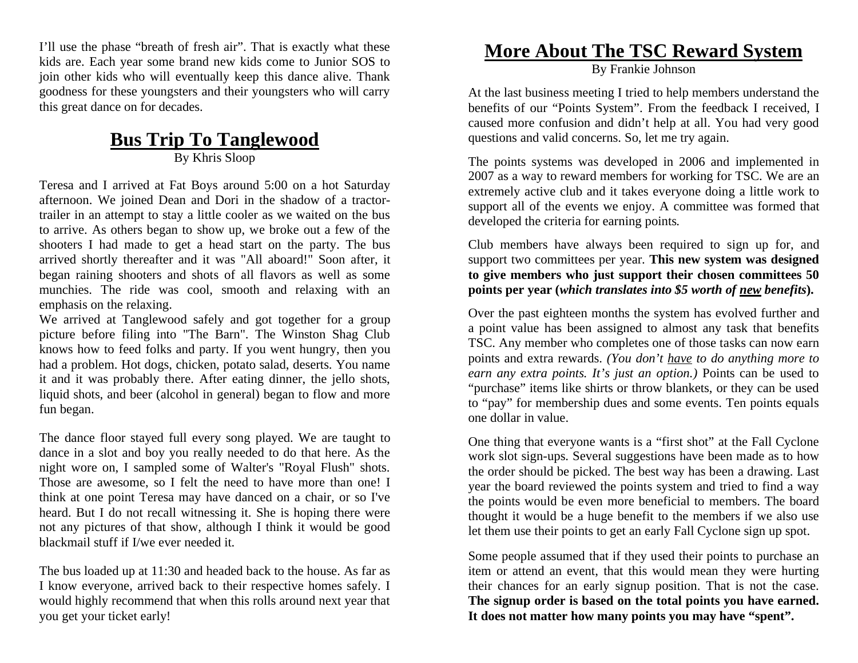I'll use the phase "breath of fresh air". That is exactly what these kids are. Each year some brand new kids come to Junior SOS to join other kids who will eventually keep this dance alive. Thank goodness for these youngsters and their youngsters who will carry this great dance on for decades.

#### **Bus Trip To Tanglewood** By Khris Sloop

Teresa and I arrived at Fat Boys around 5:00 on a hot Saturday afternoon. We joined Dean and Dori in the shadow of a tractortrailer in an attempt to stay a little cooler as we waited on the bus to arrive. As others began to show up, we broke out a few of the shooters I had made to get a head start on the party. The bus arrived shortly thereafter and it was "All aboard!" Soon after, it began raining shooters and shots of all flavors as well as some munchies. The ride was cool, smooth and relaxing with an emphasis on the relaxing.

We arrived at Tanglewood safely and got together for a group picture before filing into "The Barn". The Winston Shag Club knows how to feed folks and party. If you went hungry, then you had a problem. Hot dogs, chicken, potato salad, deserts. You name it and it was probably there. After eating dinner, the jello shots, liquid shots, and beer (alcohol in general) began to flow and more fun began.

The dance floor stayed full every song played. We are taught to dance in a slot and boy you really needed to do that here. As the night wore on, I sampled some of Walter's "Royal Flush" shots. Those are awesome, so I felt the need to have more than one! I think at one point Teresa may have danced on a chair, or so I've heard. But I do not recall witnessing it. She is hoping there were not any pictures of that show, although I think it would be good blackmail stuff if I/we ever needed it.

The bus loaded up at 11:30 and headed back to the house. As far as I know everyone, arrived back to their respective homes safely. I would highly recommend that when this rolls around next year that you get your ticket early!

### **More About The TSC Reward System**

By Frankie Johnson

At the last business meeting I tried to help members understand the benefits of our "Points System". From the feedback I received, I caused more confusion and didn't help at all. You had very good questions and valid concerns. So, let me try again.

The points systems was developed in 2006 and implemented in 2007 as a way to reward members for working for TSC. We are an extremely active club and it takes everyone doing a little work to support all of the events we enjoy. A committee was formed that developed the criteria for earning points.

Club members have always been required to sign up for, and support two committees per year. **This new system was designed to give members who just support their chosen committees 50 points per year (***which translates into \$5 worth of new benefits***).**

Over the past eighteen months the system has evolved further and a point value has been assigned to almost any task that benefits TSC. Any member who completes one of those tasks can now earn points and extra rewards. *(You don't have to do anything more to earn any extra points. It's just an option.)* Points can be used to "purchase" items like shirts or throw blankets, or they can be used to "pay" for membership dues and some events. Ten points equals one dollar in value.

One thing that everyone wants is a "first shot" at the Fall Cyclone work slot sign-ups. Several suggestions have been made as to how the order should be picked. The best way has been a drawing. Last year the board reviewed the points system and tried to find a way the points would be even more beneficial to members. The board thought it would be a huge benefit to the members if we also use let them use their points to get an early Fall Cyclone sign up spot.

Some people assumed that if they used their points to purchase an item or attend an event, that this would mean they were hurting their chances for an early signup position. That is not the case. **The signup order is based on the total points you have earned. It does not matter how many points you may have "spent".**